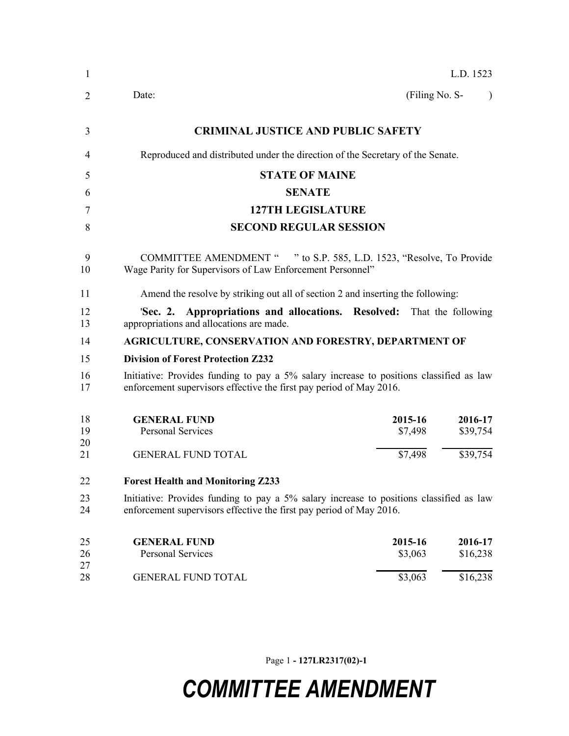| $\mathbf{1}$ |                                                                                                                                                                |                    | L.D. 1523           |
|--------------|----------------------------------------------------------------------------------------------------------------------------------------------------------------|--------------------|---------------------|
| 2            | Date:                                                                                                                                                          | (Filing No. S-     |                     |
| 3            | <b>CRIMINAL JUSTICE AND PUBLIC SAFETY</b>                                                                                                                      |                    |                     |
| 4            | Reproduced and distributed under the direction of the Secretary of the Senate.                                                                                 |                    |                     |
| 5            | <b>STATE OF MAINE</b>                                                                                                                                          |                    |                     |
| 6            | <b>SENATE</b>                                                                                                                                                  |                    |                     |
| 7            | <b>127TH LEGISLATURE</b>                                                                                                                                       |                    |                     |
| 8            | <b>SECOND REGULAR SESSION</b>                                                                                                                                  |                    |                     |
| 9<br>10      | COMMITTEE AMENDMENT " " to S.P. 585, L.D. 1523, "Resolve, To Provide<br>Wage Parity for Supervisors of Law Enforcement Personnel"                              |                    |                     |
| 11           | Amend the resolve by striking out all of section 2 and inserting the following:                                                                                |                    |                     |
| 12<br>13     | 'Sec. 2. Appropriations and allocations. Resolved: That the following<br>appropriations and allocations are made.                                              |                    |                     |
| 14           | <b>AGRICULTURE, CONSERVATION AND FORESTRY, DEPARTMENT OF</b>                                                                                                   |                    |                     |
| 15           | <b>Division of Forest Protection Z232</b>                                                                                                                      |                    |                     |
| 16<br>17     | Initiative: Provides funding to pay a 5% salary increase to positions classified as law<br>enforcement supervisors effective the first pay period of May 2016. |                    |                     |
| 18<br>19     | <b>GENERAL FUND</b><br><b>Personal Services</b>                                                                                                                | 2015-16<br>\$7,498 | 2016-17<br>\$39,754 |
| 20<br>21     | <b>GENERAL FUND TOTAL</b>                                                                                                                                      | \$7,498            | \$39,754            |
| 22           | <b>Forest Health and Monitoring Z233</b>                                                                                                                       |                    |                     |
| 23<br>24     | Initiative: Provides funding to pay a 5% salary increase to positions classified as law<br>enforcement supervisors effective the first pay period of May 2016. |                    |                     |
| 25           | <b>GENERAL FUND</b>                                                                                                                                            | 2015-16            | 2016-17             |
| 26<br>27     | <b>Personal Services</b>                                                                                                                                       | \$3,063            | \$16,238            |
| 28           | <b>GENERAL FUND TOTAL</b>                                                                                                                                      | \$3,063            | \$16,238            |

Page 1 **- 127LR2317(02)-1**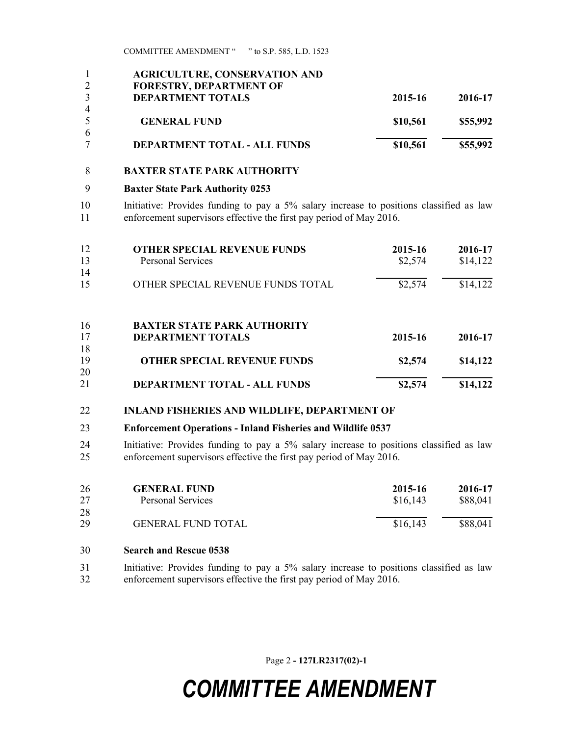COMMITTEE AMENDMENT " " to S.P. 585, L.D. 1523

|                | <b>AGRICULTURE, CONSERVATION AND</b> |          |          |
|----------------|--------------------------------------|----------|----------|
| 2              | <b>FORESTRY, DEPARTMENT OF</b>       |          |          |
| 3              | <b>DEPARTMENT TOTALS</b>             | 2015-16  | 2016-17  |
| $\overline{4}$ |                                      |          |          |
| 5              | <b>GENERAL FUND</b>                  | \$10,561 | \$55,992 |
| 6              |                                      |          |          |
|                | <b>DEPARTMENT TOTAL - ALL FUNDS</b>  | \$10,561 | \$55,992 |

#### **BAXTER STATE PARK AUTHORITY**

#### **Baxter State Park Authority 0253**

 Initiative: Provides funding to pay a 5% salary increase to positions classified as law enforcement supervisors effective the first pay period of May 2016.

| 12 | <b>OTHER SPECIAL REVENUE FUNDS</b> | 2015-16 | 2016-17  |
|----|------------------------------------|---------|----------|
| 13 | <b>Personal Services</b>           | \$2,574 | \$14,122 |
| 14 |                                    |         |          |
| 15 | OTHER SPECIAL REVENUE FUNDS TOTAL  | \$2,574 | \$14,122 |
| 16 | <b>BAXTER STATE PARK AUTHORITY</b> |         |          |
| 17 | <b>DEPARTMENT TOTALS</b>           | 2015-16 | 2016-17  |
| 18 |                                    |         |          |
| 19 | <b>OTHER SPECIAL REVENUE FUNDS</b> | \$2,574 | \$14,122 |
| 20 |                                    |         |          |
| 21 | DEPARTMENT TOTAL - ALL FUNDS       | \$2,574 | \$14,122 |

#### **INLAND FISHERIES AND WILDLIFE, DEPARTMENT OF**

#### **Enforcement Operations - Inland Fisheries and Wildlife 0537**

 Initiative: Provides funding to pay a 5% salary increase to positions classified as law enforcement supervisors effective the first pay period of May 2016.

| 26<br>27 | <b>GENERAL FUND</b><br><b>Personal Services</b> | 2015-16<br>\$16,143 | 2016-17<br>\$88,041 |
|----------|-------------------------------------------------|---------------------|---------------------|
| 28       |                                                 |                     |                     |
| 29       | <b>GENERAL FUND TOTAL</b>                       | \$16,143            | \$88,041            |

- **Search and Rescue 0538**
- Initiative: Provides funding to pay a 5% salary increase to positions classified as law enforcement supervisors effective the first pay period of May 2016.

Page 2 **- 127LR2317(02)-1**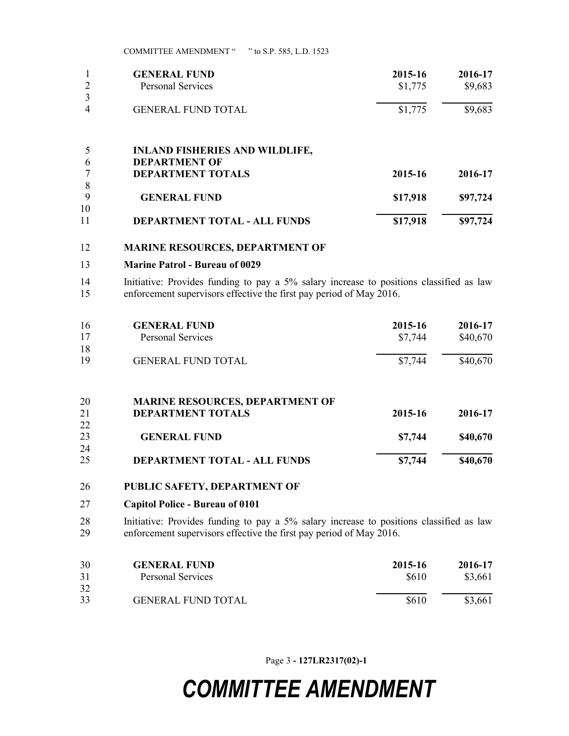|    | <b>GENERAL FUND</b>                   | 2015-16  | 2016-17  |
|----|---------------------------------------|----------|----------|
|    | <b>Personal Services</b>              | \$1,775  | \$9,683  |
|    |                                       |          |          |
| 4  | <b>GENERAL FUND TOTAL</b>             | \$1,775  | \$9,683  |
|    |                                       |          |          |
|    | <b>INLAND FISHERIES AND WILDLIFE,</b> |          |          |
| 6  | <b>DEPARTMENT OF</b>                  |          |          |
|    | <b>DEPARTMENT TOTALS</b>              | 2015-16  | 2016-17  |
| 8  |                                       |          |          |
| 9  | <b>GENERAL FUND</b>                   | \$17,918 | \$97,724 |
| 10 |                                       |          |          |
| 11 | <b>DEPARTMENT TOTAL - ALL FUNDS</b>   | \$17,918 | \$97,724 |

#### **MARINE RESOURCES, DEPARTMENT OF**

#### **Marine Patrol - Bureau of 0029**

 Initiative: Provides funding to pay a 5% salary increase to positions classified as law enforcement supervisors effective the first pay period of May 2016.

| 16 | <b>GENERAL FUND</b>                    | 2015-16 | 2016-17  |
|----|----------------------------------------|---------|----------|
| 17 | <b>Personal Services</b>               | \$7,744 | \$40,670 |
| 18 |                                        |         |          |
| 19 | <b>GENERAL FUND TOTAL</b>              | \$7,744 | \$40,670 |
| 20 | <b>MARINE RESOURCES, DEPARTMENT OF</b> |         |          |
| 21 | <b>DEPARTMENT TOTALS</b>               | 2015-16 | 2016-17  |
| 22 |                                        |         |          |
| 23 | <b>GENERAL FUND</b>                    | \$7,744 | \$40,670 |
| 24 |                                        |         |          |
| 25 | DEPARTMENT TOTAL - ALL FUNDS           | \$7,744 | \$40,670 |

#### **PUBLIC SAFETY, DEPARTMENT OF**

#### **Capitol Police - Bureau of 0101**

 Initiative: Provides funding to pay a 5% salary increase to positions classified as law enforcement supervisors effective the first pay period of May 2016.

| 30 | <b>GENERAL FUND</b>       | 2015-16 | 2016-17 |
|----|---------------------------|---------|---------|
| 31 | <b>Personal Services</b>  | \$610   | \$3,661 |
| 32 |                           |         |         |
| 33 | <b>GENERAL FUND TOTAL</b> | \$610   | \$3,661 |

Page 3 **- 127LR2317(02)-1**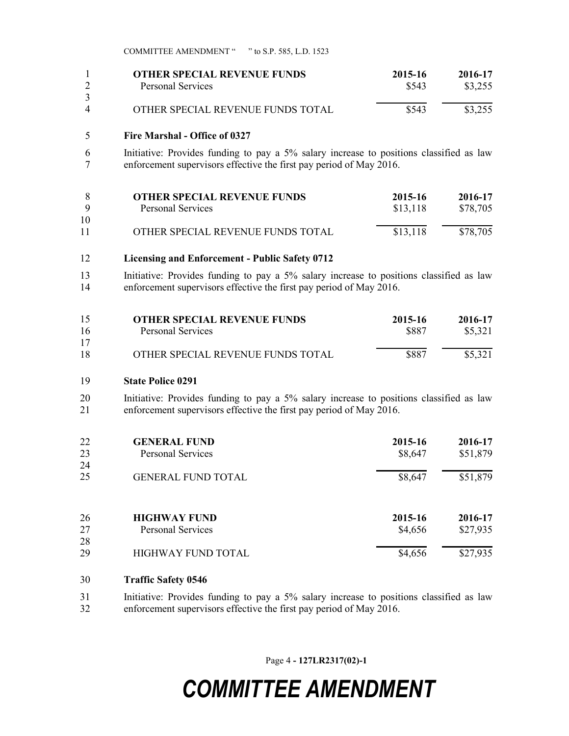|          | <b>OTHER SPECIAL REVENUE FUNDS</b> | 2015-16 | 2016-17 |
|----------|------------------------------------|---------|---------|
|          | <b>Personal Services</b>           | \$543   | \$3,255 |
| 3        |                                    |         |         |
| $\Delta$ | OTHER SPECIAL REVENUE FUNDS TOTAL  | \$543   | \$3,255 |

#### **Fire Marshal - Office of 0327**

 Initiative: Provides funding to pay a 5% salary increase to positions classified as law enforcement supervisors effective the first pay period of May 2016.

|     | <b>OTHER SPECIAL REVENUE FUNDS</b> | 2015-16  | 2016-17  |
|-----|------------------------------------|----------|----------|
| - Q | Personal Services                  | \$13,118 | \$78,705 |
| 10  |                                    |          |          |
| 11  | OTHER SPECIAL REVENUE FUNDS TOTAL  | \$13,118 | \$78,705 |

#### **Licensing and Enforcement - Public Safety 0712**

 Initiative: Provides funding to pay a 5% salary increase to positions classified as law enforcement supervisors effective the first pay period of May 2016.

| 15 | <b>OTHER SPECIAL REVENUE FUNDS</b> | 2015-16 | 2016-17 |
|----|------------------------------------|---------|---------|
| 16 | Personal Services                  | \$887   | \$5,321 |
| 17 |                                    |         |         |
| 18 | OTHER SPECIAL REVENUE FUNDS TOTAL  | \$887   | \$5,321 |

#### **State Police 0291**

 Initiative: Provides funding to pay a 5% salary increase to positions classified as law enforcement supervisors effective the first pay period of May 2016.

| 22<br>23 | <b>GENERAL FUND</b><br><b>Personal Services</b> | 2015-16<br>\$8,647 | 2016-17<br>\$51,879 |
|----------|-------------------------------------------------|--------------------|---------------------|
| 24       |                                                 |                    |                     |
| 25       | <b>GENERAL FUND TOTAL</b>                       | \$8,647            | \$51,879            |
| 26       | <b>HIGHWAY FUND</b>                             | 2015-16            | 2016-17             |
| 27       | <b>Personal Services</b>                        | \$4,656            | \$27,935            |
| 28       |                                                 |                    |                     |
| 29       | HIGHWAY FUND TOTAL                              | \$4,656            | \$27,935            |

#### **Traffic Safety 0546**

 Initiative: Provides funding to pay a 5% salary increase to positions classified as law enforcement supervisors effective the first pay period of May 2016.

Page 4 **- 127LR2317(02)-1**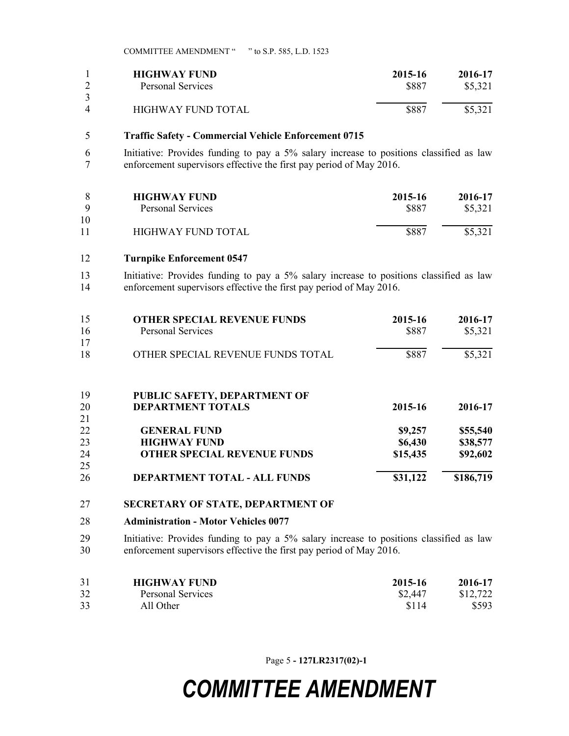|   | <b>HIGHWAY FUND</b> | 2015-16 | 2016-17 |
|---|---------------------|---------|---------|
|   | Personal Services   | \$887   | \$5,321 |
| 4 | HIGHWAY FUND TOTAL  | \$887   | \$5,321 |

#### **Traffic Safety - Commercial Vehicle Enforcement 0715**

 Initiative: Provides funding to pay a 5% salary increase to positions classified as law enforcement supervisors effective the first pay period of May 2016.

| Q        | <b>HIGHWAY FUND</b> | 2015-16 | 2016-17 |
|----------|---------------------|---------|---------|
|          | Personal Services   | \$887   | \$5.321 |
| 10<br>11 | HIGHWAY FUND TOTAL  | \$887   | \$5,321 |

#### **Turnpike Enforcement 0547**

 Initiative: Provides funding to pay a 5% salary increase to positions classified as law enforcement supervisors effective the first pay period of May 2016.

| 15 | <b>OTHER SPECIAL REVENUE FUNDS</b>  | 2015-16  | 2016-17   |
|----|-------------------------------------|----------|-----------|
| 16 | <b>Personal Services</b>            | \$887    | \$5,321   |
| 17 |                                     |          |           |
| 18 | OTHER SPECIAL REVENUE FUNDS TOTAL   | \$887    | \$5,321   |
|    |                                     |          |           |
| 19 | PUBLIC SAFETY, DEPARTMENT OF        |          |           |
| 20 | <b>DEPARTMENT TOTALS</b>            | 2015-16  | 2016-17   |
| 21 |                                     |          |           |
| 22 | <b>GENERAL FUND</b>                 | \$9,257  | \$55,540  |
| 23 | <b>HIGHWAY FUND</b>                 | \$6,430  | \$38,577  |
| 24 | <b>OTHER SPECIAL REVENUE FUNDS</b>  | \$15,435 | \$92,602  |
| 25 |                                     |          |           |
| 26 | <b>DEPARTMENT TOTAL - ALL FUNDS</b> | \$31,122 | \$186,719 |

#### **SECRETARY OF STATE, DEPARTMENT OF**

#### **Administration - Motor Vehicles 0077**

 Initiative: Provides funding to pay a 5% salary increase to positions classified as law enforcement supervisors effective the first pay period of May 2016.

| 31 | <b>HIGHWAY FUND</b> | 2015-16 | 2016-17  |
|----|---------------------|---------|----------|
| 32 | Personal Services   | \$2,447 | \$12,722 |
| 33 | All Other           | \$114   | \$593    |

Page 5 **- 127LR2317(02)-1**